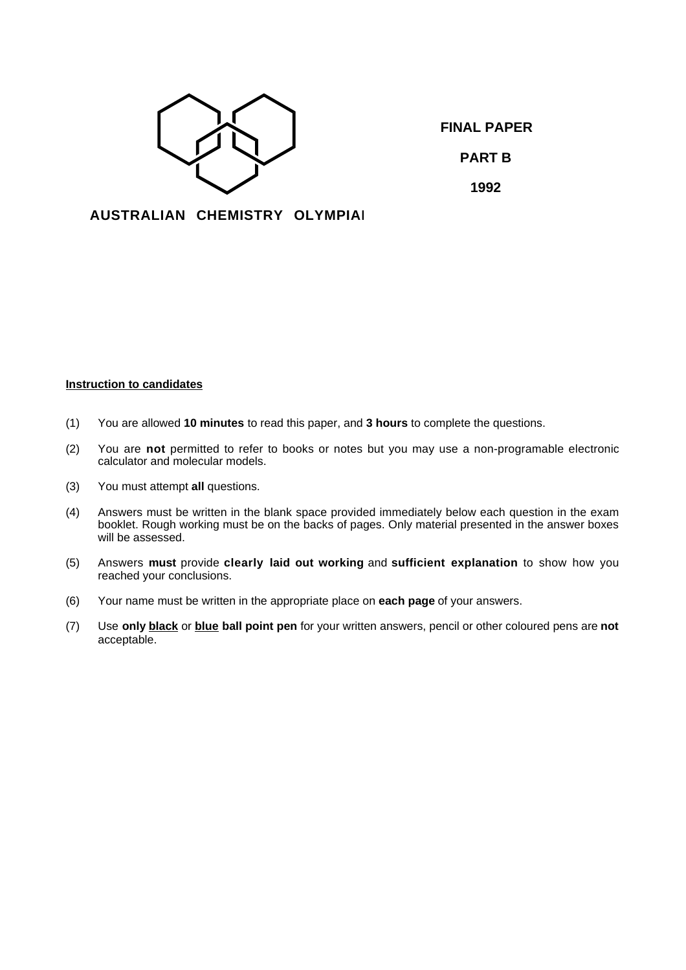

**FINAL PAPER PART B 1992**

**AUSTRALIAN CHEMISTRY OLYMPIAI** 

## **Instruction to candidates**

- (1) You are allowed **10 minutes** to read this paper, and **3 hours** to complete the questions.
- (2) You are **not** permitted to refer to books or notes but you may use a non-programable electronic calculator and molecular models.
- (3) You must attempt **all** questions.
- (4) Answers must be written in the blank space provided immediately below each question in the exam booklet. Rough working must be on the backs of pages. Only material presented in the answer boxes will be assessed.
- (5) Answers **must** provide **clearly laid out working** and **sufficient explanation** to show how you reached your conclusions.
- (6) Your name must be written in the appropriate place on **each page** of your answers.
- (7) Use **only black** or **blue ball point pen** for your written answers, pencil or other coloured pens are **not** acceptable.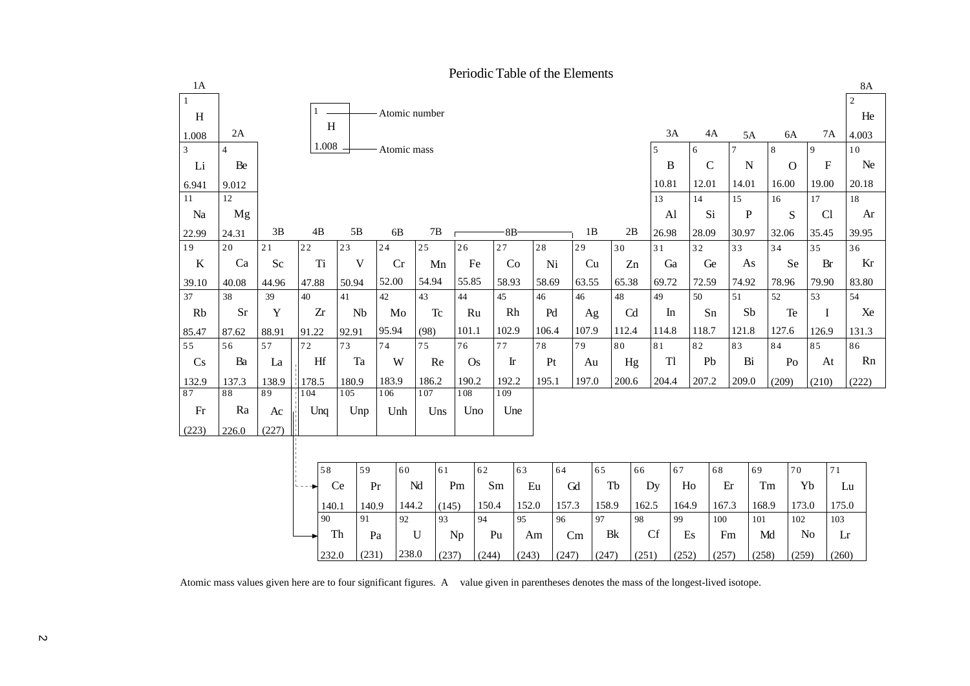| 1A             |                |       |             |       |                      |             |                 |                  |              |             |       |             |             |                |             |              |             |              |             |            | <b>8A</b> |
|----------------|----------------|-------|-------------|-------|----------------------|-------------|-----------------|------------------|--------------|-------------|-------|-------------|-------------|----------------|-------------|--------------|-------------|--------------|-------------|------------|-----------|
|                |                |       | 1           |       |                      |             |                 |                  |              |             |       |             |             |                |             |              |             |              |             | $\sqrt{2}$ |           |
| H              |                |       | $\,$ H      |       | Atomic number        |             |                 |                  |              |             |       |             |             |                |             |              |             |              |             |            | He        |
| 1.008          | 2A             |       |             |       |                      |             |                 |                  |              |             |       |             |             | 3A             | 4A          |              | 5A          | <b>6A</b>    | 7A          | 4.003      |           |
| $\overline{3}$ | $\overline{4}$ |       | 1.008       |       | Atomic mass          |             |                 |                  |              |             |       |             |             | 5              | 6           | 7            |             | 8            | 9           | 10         |           |
| $\rm Li$       | Be             |       |             |       |                      |             |                 |                  |              |             |       |             |             | B              | $\mathbf C$ |              | $\mathbf N$ | $\Omega$     | $\mathbf F$ |            | Ne        |
| 6.941          | 9.012          |       |             |       |                      |             |                 |                  |              |             |       |             |             | 10.81          | 12.01       | 14.01        |             | 16.00        | 19.00       | 20.18      |           |
| 11             | 12             |       |             |       |                      |             |                 |                  |              |             |       |             |             | 13             | 14          | 15           |             | 16           | 17          | 18         |           |
| Na             | Mg             |       |             |       |                      |             |                 |                  |              |             |       |             |             | Al             | Si          |              | ${\bf P}$   | S            | Cl          |            | Ar        |
| 22.99          | 24.31          | 3B    | 4B          | 5B    | 6B                   | 7B          |                 |                  | 8B           |             |       | 1B          | 2B          | 26.98          | 28.09       | 30.97        |             | 32.06        | 35.45       | 39.95      |           |
| 19             | 20             | 21    | 22          | 23    | 24                   | 25          | 26              | 27               |              | 28          | 29    | 30          |             | 31             | 32          | 33           |             | 34           | 35          | 36         |           |
| $\bf K$        | Ca             | Sc    | Ti          | V     | Cr                   | Mn          | Fe              |                  | Co           | Ni          |       | Cu          | Zn          | Ga             | Ge          |              | As          | Se           | Br          |            | Kr        |
| 39.10          | 40.08          | 44.96 | 47.88       | 50.94 | 52.00                | 54.94       | 55.85           | 58.93            |              | 58.69       | 63.55 |             | 65.38       | 69.72          | 72.59       | 74.92        |             | 78.96        | 79.90       | 83.80      |           |
| 37             | 38             | 39    | 40          | 41    | 42                   | 43          | 44              | 45               |              | 46          | 46    | 48          |             | 49             | 50          | 51           |             | 52           | 53          | 54         |           |
| Rb             | Sr             | Y     | Zr          | Nb    | Mo                   | Tc          | Ru              |                  | Rh           | Pd          | Ag    |             | Cd          | In             | Sn          |              | Sb          | Te           | Ι           |            | Xe        |
| 85.47          | 87.62          | 88.91 | 91.22       | 92.91 | 95.94                | (98)        | 101.1           | 102.9            |              | 106.4       | 107.9 |             | 112.4       | 114.8          | 118.7       | 121.8        |             | 127.6        | 126.9       | 131.3      |           |
| 55             | 56             | 57    | 72          | 73    | 74                   | 75          | 76              | 77               |              | 78          | 79    | 80          |             | 81             | 82          | 83           |             | 84           | 85          | 86         |           |
| Cs             | Ba             | La    | Hf          | Ta    | W                    | Re          | $\overline{Os}$ |                  | $\mathbf{r}$ | Pt          | Au    |             | Hg          | T <sub>1</sub> | Pb          |              | Bi          | Po           | At          |            | Rn        |
| 132.9          | 137.3          | 138.9 | 178.5       | 180.9 | 183.9                | 186.2       | 190.2           | 192.2            |              | 195.1       | 197.0 |             | 200.6       | 204.4          | 207.2       | 209.0        |             | (209)        | (210)       | (222)      |           |
| 87             | 88             | 89    | 104         | 105   | 106                  | 107         | 108             | $\overline{109}$ |              |             |       |             |             |                |             |              |             |              |             |            |           |
| Fr             | Ra             | Ac    | Unq         | Unp   | Unh                  | Uns         | Uno             |                  | Une          |             |       |             |             |                |             |              |             |              |             |            |           |
| (223)          | 226.0          | (227) |             |       |                      |             |                 |                  |              |             |       |             |             |                |             |              |             |              |             |            |           |
|                |                |       |             |       |                      |             |                 |                  |              |             |       |             |             |                |             |              |             |              |             |            |           |
|                |                |       | 58          | 59    | 60                   | 61          |                 | 62               | 63           | 64          |       | 65          | 66          | 67             |             | 68           | 69          | 70           | 71          |            |           |
|                |                |       | ₩           | Ce    | Pr                   | Nd          | Pm              | Sm               | Eu           |             | Gd    | Tb          |             | Dy             | Ho          | Er           | Tm          |              | Yb          | Lu         |           |
|                |                |       |             |       |                      |             |                 |                  |              |             |       |             |             |                |             |              |             |              |             |            |           |
|                |                |       | 140.1<br>90 | 91    | 144.2<br>140.9<br>92 | (145)<br>93 |                 | 150.4<br>94      | 152.0<br>95  | 157.3<br>96 |       | 158.9<br>97 | 162.5<br>98 | 164.9<br>99    |             | 167.3<br>100 | 168.9       | 173.0<br>102 |             | 175.0      |           |
|                |                |       |             | Th    | Pa                   | $\mathbf U$ |                 | Pu               |              |             |       | Bk          |             | Cf             | Es          | Fm           | 101<br>Md   |              | No          | 103<br>Lr  |           |
|                |                |       |             |       |                      |             | Np              |                  | Am           |             | Cm    |             |             |                |             |              |             |              |             |            |           |
|                |                |       | 232.0       | (231) | 238.0                | (237)       |                 | (244)            | (243)        | (247)       |       | (247)       | (251)       | (252)          |             | (257)        | (258)       | (259)        |             | (260)      |           |

Periodic Table of the Elements

Atomic mass values given here are to four significant figures. A value given in parentheses denotes the mass of the longest-lived isotope.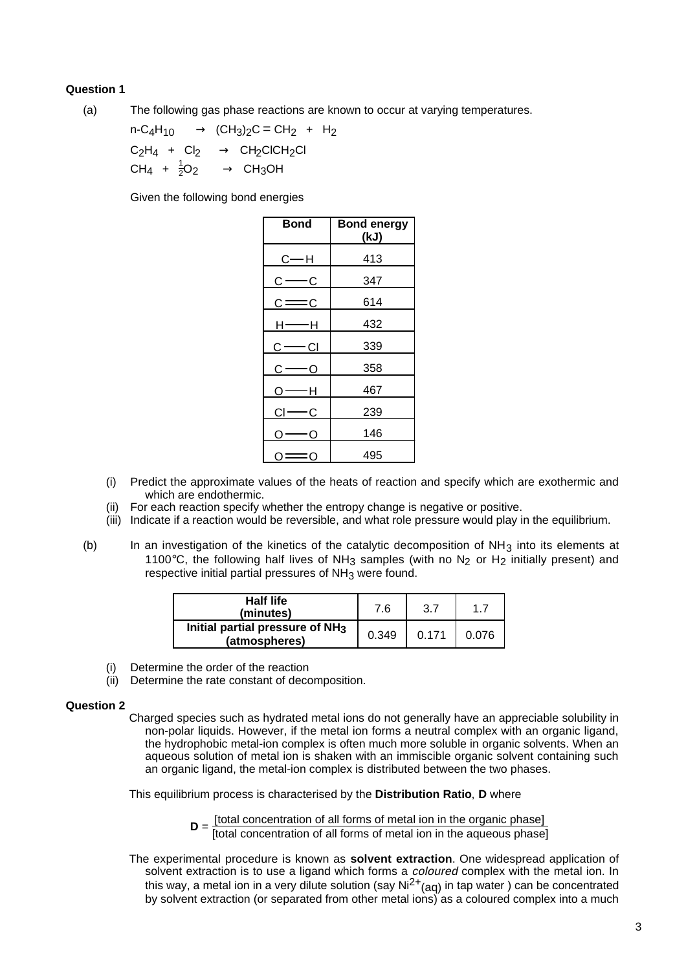# **Question 1**

(a) The following gas phase reactions are known to occur at varying temperatures.

 $n\text{-}C_4H_{10} \longrightarrow (CH_3)_2C = CH_2 + H_2$  $C_2H_4 + CI_2 \longrightarrow CH_2CICH_2Cl$  $CH_4$  +  $\frac{1}{2}O_2$   $\longrightarrow$  CH<sub>3</sub>OH

Given the following bond energies

| <b>Bond</b>         | <b>Bond energy</b><br>(kJ) |
|---------------------|----------------------------|
| с—н                 | 413                        |
| C -<br>—c           | 347                        |
| $c = c$             | 614                        |
| н-<br>٠H            | 432                        |
| C -<br>—<br>—<br>Cl | 339                        |
| C.                  | 358                        |
| O                   | 467                        |
| СI<br>C             | 239                        |
|                     | 146                        |
|                     | 495                        |

- (i) Predict the approximate values of the heats of reaction and specify which are exothermic and which are endothermic.
- (ii) For each reaction specify whether the entropy change is negative or positive.
- (iii) Indicate if a reaction would be reversible, and what role pressure would play in the equilibrium.
- (b) In an investigation of the kinetics of the catalytic decomposition of  $NH<sub>3</sub>$  into its elements at 1100°C, the following half lives of NH<sub>3</sub> samples (with no N<sub>2</sub> or H<sub>2</sub> initially present) and respective initial partial pressures of  $NH<sub>3</sub>$  were found.

| <b>Half life</b><br>(minutes)                                | 7.6   | 3.7   | 1.7   |
|--------------------------------------------------------------|-------|-------|-------|
| Initial partial pressure of NH <sub>3</sub><br>(atmospheres) | 0.349 | 0.171 | 0.076 |

- Determine the order of the reaction
- (ii) Determine the rate constant of decomposition.

### **Question 2**

Charged species such as hydrated metal ions do not generally have an appreciable solubility in non-polar liquids. However, if the metal ion forms a neutral complex with an organic ligand, the hydrophobic metal-ion complex is often much more soluble in organic solvents. When an aqueous solution of metal ion is shaken with an immiscible organic solvent containing such an organic ligand, the metal-ion complex is distributed between the two phases.

This equilibrium process is characterised by the **Distribution Ratio**, **D** where

**D** =  $\frac{[total concentration of all forms of metal ion in the organic phase]}{[total concentration of all forms of metal ion in the aqueous phase]}$ 

The experimental procedure is known as **solvent extraction**. One widespread application of solvent extraction is to use a ligand which forms a coloured complex with the metal ion. In this way, a metal ion in a very dilute solution (say Ni2+(aq) in tap water ) can be concentrated by solvent extraction (or separated from other metal ions) as a coloured complex into a much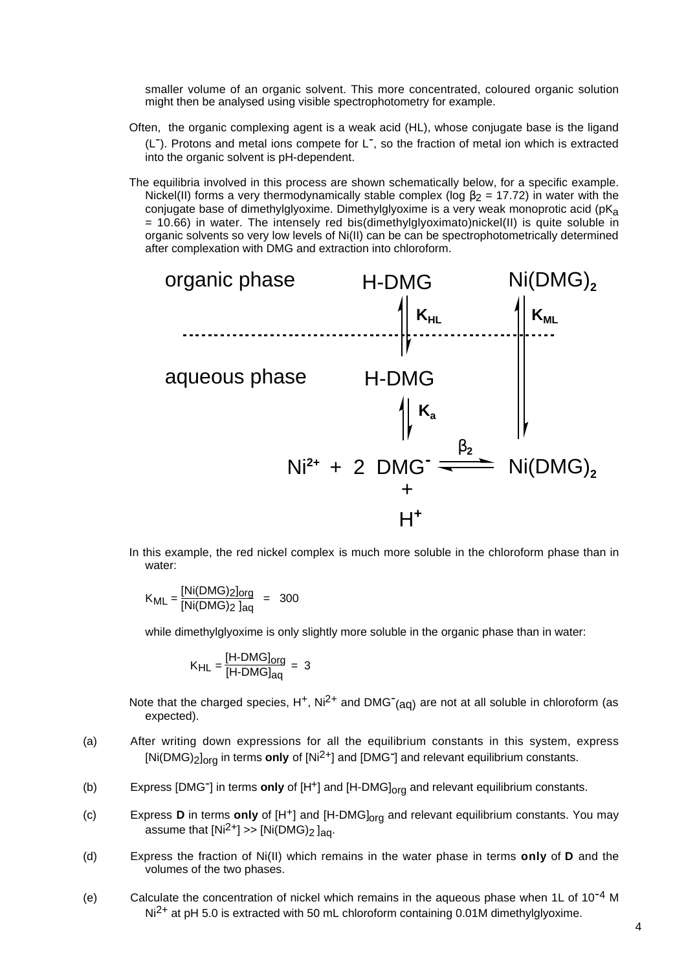smaller volume of an organic solvent. This more concentrated, coloured organic solution might then be analysed using visible spectrophotometry for example.

- Often, the organic complexing agent is a weak acid (HL), whose conjugate base is the ligand (L-). Protons and metal ions compete for L-, so the fraction of metal ion which is extracted into the organic solvent is pH-dependent.
- The equilibria involved in this process are shown schematically below, for a specific example. Nickel(II) forms a very thermodynamically stable complex (log  $\beta$ <sub>2</sub> = 17.72) in water with the conjugate base of dimethylglyoxime. Dimethylglyoxime is a very weak monoprotic acid ( $pK_a$ ) = 10.66) in water. The intensely red bis(dimethylglyoximato)nickel(II) is quite soluble in organic solvents so very low levels of Ni(II) can be can be spectrophotometrically determined after complexation with DMG and extraction into chloroform.



In this example, the red nickel complex is much more soluble in the chloroform phase than in water:

$$
K_{ML} = \frac{[Ni(DMG)_{2}]_{org}}{[Ni(DMG)_{2}]_{aq}} = 300
$$

while dimethylglyoxime is only slightly more soluble in the organic phase than in water:

$$
K_{HL} = \frac{[H\text{-DMG}]_{org}}{[H\text{-DMG}]_{aq}} = 3
$$

Note that the charged species, H<sup>+</sup>, Ni<sup>2+</sup> and DMG<sup>-</sup>(aq) are not at all soluble in chloroform (as expected).

- (a) After writing down expressions for all the equilibrium constants in this system, express [Ni(DMG)2]org in terms **only** of [Ni2+] and [DMG-] and relevant equilibrium constants.
- (b) Express [DMG-] in terms **only** of [H+] and [H-DMG]org and relevant equilibrium constants.
- (c) Express **D** in terms **only** of [H+] and [H-DMG]org and relevant equilibrium constants. You may assume that  $[Ni^{2+}] >> [Ni(DMG)<sub>2</sub>]$ <sub>ag</sub>.
- (d) Express the fraction of Ni(II) which remains in the water phase in terms **only** of **D** and the volumes of the two phases.
- (e) Calculate the concentration of nickel which remains in the aqueous phase when 1L of  $10^{-4}$  M Ni<sup>2+</sup> at pH 5.0 is extracted with 50 mL chloroform containing 0.01M dimethylglyoxime.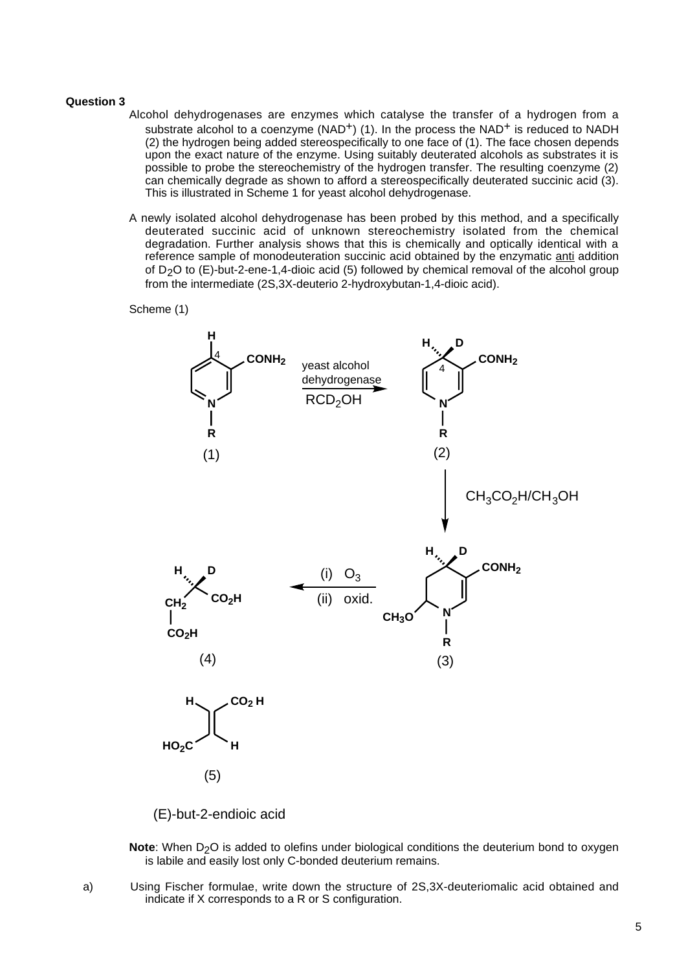#### **Question 3**

- Alcohol dehydrogenases are enzymes which catalyse the transfer of a hydrogen from a substrate alcohol to a coenzyme (NAD<sup>+</sup>) (1). In the process the NAD<sup>+</sup> is reduced to NADH (2) the hydrogen being added stereospecifically to one face of (1). The face chosen depends upon the exact nature of the enzyme. Using suitably deuterated alcohols as substrates it is possible to probe the stereochemistry of the hydrogen transfer. The resulting coenzyme (2) can chemically degrade as shown to afford a stereospecifically deuterated succinic acid (3). This is illustrated in Scheme 1 for yeast alcohol dehydrogenase.
- A newly isolated alcohol dehydrogenase has been probed by this method, and a specifically deuterated succinic acid of unknown stereochemistry isolated from the chemical degradation. Further analysis shows that this is chemically and optically identical with a reference sample of monodeuteration succinic acid obtained by the enzymatic anti addition of D2O to (E)-but-2-ene-1,4-dioic acid (5) followed by chemical removal of the alcohol group from the intermediate (2S,3X-deuterio 2-hydroxybutan-1,4-dioic acid).





(E)-but-2-endioic acid

- **Note:** When D<sub>2</sub>O is added to olefins under biological conditions the deuterium bond to oxygen is labile and easily lost only C-bonded deuterium remains.
- a) Using Fischer formulae, write down the structure of 2S,3X-deuteriomalic acid obtained and indicate if X corresponds to a R or S configuration.